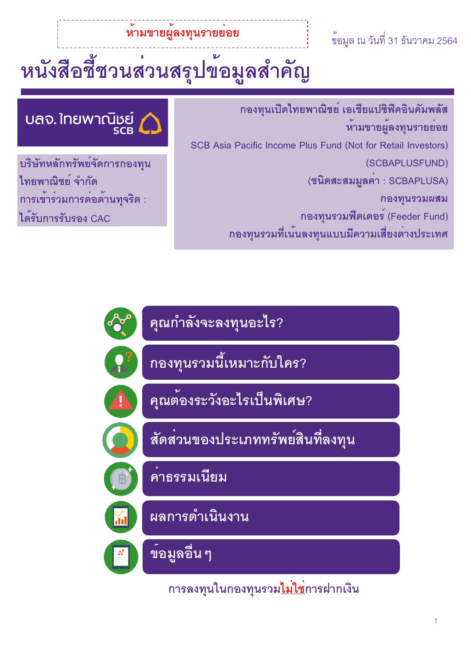็หามขายผูลงทุนรายยอย

## **ย**<br>พ้อมูล ณ วันที่ 31 ธันวาคม 2564

# หนังสือชี้ชวนส่วนสรุปข**้อมูลสำคัญ**

กองทุนเปิดไทยพาณิชย<sup>์</sup> เอเชียแปซิฟิคอินคัมพลัส ห<sup>้</sup>ามขายผู<sup>้</sup>ลงทุนรายย่อย **SCB Asia Pacific Income Plus Fund (Not for Retail Investors) (SCBAPLUSFUND) (ชนิดสะสมมูลค**่า : SCBAPLUSA) <mark>กองทุนรวมผสม</mark>  $\overline{\text{max}}$  (Feeder Fund) กองทุนรวมที่เน<sup>้</sup>นลงทุนแบบมีความเสี่ยงต<sup>่</sup>างประเทศ

บลจ. ใทยพาณิชย์<br>sca

บริษัทหลักทรัพย์จัดการกองทุน ์ไทยพาณิชย์ จำกัด การเข**้าร**่วมการต**่อต**้านทุจริต : **ไ**ด<sup>้</sup>รับการรับรอง CAC



ึการลงทุนในกองทุนรวม<u>ไม่ใช</u>่การฝากเงิน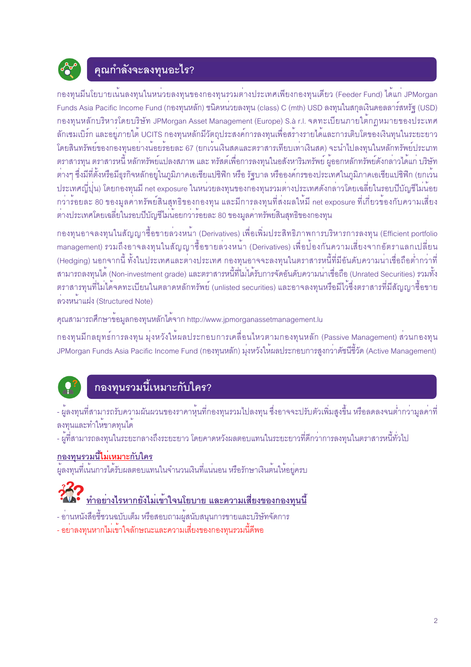

## คุณกำลังจะลงทุนอะไร?

ึกองทุนมีนโยบายเน้นลงทุนในหน่วยลงทุนของกองทุนรวมต่างประเทศเพียงกองทุนเดียว (Feeder Fund) ได้แก่ JPMorgan Funds Asia Pacific Income Fund (กองทุนหลัก) ชนิดหน่วยลงทุน (class) C (mth) USD ลงทุนในสกุลเงินดอลลาร์สหรัฐ (USD) ิ กองทุนหลักบริหารโดยบริษัท JPMorgan Asset Management (Europe) S.à r.l. จดทะเบียนภายใต้กฎหมายของประเทศ ิลักเซมเบิร์ก และอยู่ภายใต<sup>้</sup> UCITS กองทุนหลักมีวัตถุประสงค์การลงทุนเพื่อสร้างรายได้และการเติบโตของเงินทุนในระยะยาว โดยสินทรัพย์ของกองทุนอย่างน้อยรอยละ 67 (ยกเว้นเงินสดและตราสารเทียบเท่าเงินสด) จะนำไปลงทุนในหลักทรัพย์ประเภท ้ตราสารทุน ตราสารหนี้ หลักทรัพย์แปลงสภาพ และ ทรัสต์เพื่อการลงทุนในอสังหาริมทรัพย์ ผู้ออกหลักทรัพย์ดังกล**่าวได**้แก<sup>่</sup> บริษัท ์ ต่างๆ ซึ่งมีที่ตั้งหรือมีธุรกิจหลักอยู่ในภูมิภาคเอเชียแปซิฟิก หรือ รัฐบาล หรือองค์กรของประเทศในภูมิภาคเอเชียแปซิฟิก (ยกเว้น ประเทศญี่ปุ่น) โดยกองทุนมี net exposure ในหน่วยลงทุนของกองทุนรวมต่างประเทศดังกล่าวโดยเฉลี่ยในรอบปีบัญชีไม่น้อย ึกว่าร์อยละ 80 ของมูลค่าทรัพย์สินสุทธิของกองทุน และมีการลงทุนที่ส่งผลให้มี net exposure ที่เกี่ยวข้องกับความเสี่ยง ้ต่างประเทศโดยเฉลี่ยในรอบปีบัญชีไม่น้อยกว่าร้อยละ 80 ของมูลค่าทรัพย์สินสุทธิของกองทุน

ิ กองทุนอาจลงทุนในสัญญาซื้อขายลวงหน้า (Derivatives) เพื่อเพิ่มประสิทธิภาพการบริหารการลงทุน (Efficient portfolio management) รวมถึงอาจลงทุนในสัญญาซื้อขายล่วงหน้า (Derivatives) เพื่อป้องกันความเสี่ยงจากอัตราแลกเปลี่ยน (Hedging) นอกจากนี้ ทั้งในประเทศและต่างประเทศ กองทุนอาจจะลงทุนในตราสารหนี้ที่มีอันดับความน่าเชื่อถือต่ำกว่าที่ ี สามารถลงทุนได<sup>้</sup> (Non-investment grade) และตราสารหนี้ที่ไม่ได้รับการจัดอันดับความน<sup>่</sup>าเชื่อถือ (Unrated Securities) รวมทั้ง ิตราสารทุนที่ไม่ได้จดทะเบียนในตลาดหลักทรัพย์ (unlisted securities) และอาจลงทุนหรือมีไว้ซึ่งตราสารที่มีสัญญาซื้อขาย ี ควงหน้าแฝง (Structured Note)

## ิ คุณสามารถศึกษาข้อมูลกองทุนหลักได้จาก http://www.jpmorganassetmanagement.lu

ิกองทุนมีกลยุทธ์การลงทุน มุ่งหวังให้ผลประกอบการเคลื่อนไหวตามกองทุนหลัก (Passive Management) ส่วนกองทุน ้ JPMorgan Funds Asia Pacific Income Fund (กองทุนหลัก) มุ่งหวังให้ผลประกอบการสูงกว<sup>่</sup>าดัชนี่ชี้วัด (Active Management)



## ึกองทุนรวมนี้เหมาะกับใคร?

- ผู้ลงทุนที่สามารถรับความผันผวนของราคาหุ้นที่กองทุนรวมไปลงทุน ซึ่งอาจจะปรับตัวเพิ่มสูงขึ้น หรือลดลงจนต่ำกว่ามูลค่าที่ ลงทนและทำให้ขาดทนได<sup>้</sup>

- ผู้ที่สามารถลงทุนในระยะกลางถึงระยะยาว โดยคาดหวังผลตอบแทนในระยะยาวที่ดีกว่าการลงทุนในตราสารหนี้ทั่วไป

## ึกองทนรวมนี้ไม่เหมาะกับใคร

้ผู้ลงทุนที่เน้นการได้รับผลตอบแทนในจำนวนเงินที่แน่นอน หรือรักษาเงินต<sup>้</sup>นให้อยู่ครบ

## <u>ทำอย่างไรหากยังไม่เข้าใจนโยบาย และความเสี่ยงของกองทนนี้</u>

- อ่านหนังสือชี้ชวนฉบับเต็ม หรือสอบถามผู้สนับสนุนการขายและบริษัทจัดการ
- อย่าลงทุนหากไม่เข้าใจลักษณะและความเสี่ยงของกองทุนรวมนี้ดีพอ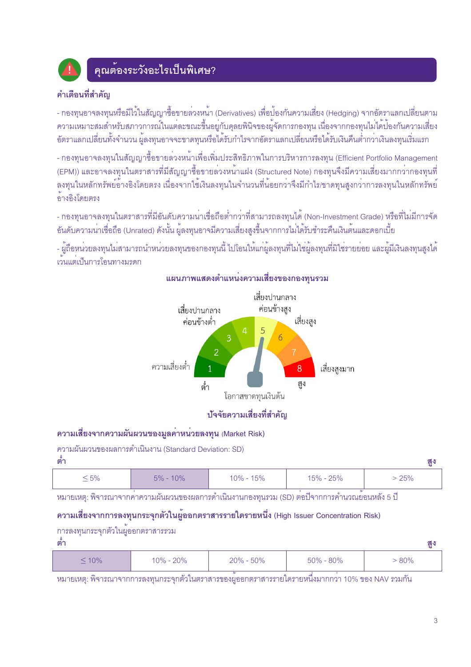

## คุณต้องระวังอะไรเป็นพิเศษ?

## คำเตือนที่สำคัญ

- กองทุนอาจลงทุนหรือมีไว้ในสัญญาซื้อขายลวงหน้า (Derivatives) เพื่อป้องกันความเสี่ยง (Hedging) จากอัตราแลกเปลี่ยนตาม ้ ความเหมาะสมสำหรับสภาวการณ์ในแต่ละขณะขึ้นอยู่กับดุลยพินิจของผู้จัดการกองทุน เนื่องจากกองทุนไม่ได้ปองกันความเสี่ยง ้อัตราแลกเปลี่ยนทั้งจำนวน ผู้ลงทุนอาจจะขาดทุนหรือได้รับกำไรจากอัตราแลกเปลี่ยนหรือได้รับเงินคืนต่ำกว่าเงินลงทุนเริ่มแรก

- กองทุนอาจลงทุนในสัญญาซื้อขายล**่วงหน**้าเพื่อเพิ่มประสิทธิภาพในการบริหารการลงทุน (Efficient Portfolio Management (EPM)) และอาจลงทุนในตราสารที่มีสัญญาซื้อขายล**่วงหน**้าแฝง (Structured Note) กองทุนจึงมีความเสี่ยงมากกว<sup>่</sup>ากองทุนที่ ้ลงทุนในหลักทรัพย์อ้างอิงโดยตรง เนื่องจากใช้เงินลงทุนในจำนวนที่น้อยกว่าจึงมีกำไร/ขาดทุนสูงกว่าการลงทุนในหลักทรัพย์ ้คางคิงโดยตรง

- กองทุนอาจลงทุนในตราสารที่มีอันดับความน<sup>่</sup>าเชื่อถือต่ำกว<sup>่</sup>าที่สามารถลงทุนได<sup>้</sup> (Non-Investment Grade) หรือที่ไม<sup>่</sup>มีการจัด ้ อันดับความน่าเชื่อถือ (Unrated) ดังนั้น ผู้ลงทุนอาจมีความเสี่ยงสูงขึ้นจากการไม่ได้รับชำระคืนเงินต<sup>ุ</sup>้นและดอกเบี้ย

- ผู้ถือหน่วยลงทุนไม่สามารถนำหน่วยลงทุนของกองทุนนี้ ไปโอนให้แก่ผู้ลงทุนที่ไม่ใช่ผู้ลงทุนที่มิใช่รายย่อย และผู้มีเงินลงทุนสูงได้ เวนแต่เป็นการโอนทางมรดก



### แผนภาพแสดงตำแหน่งความเสี่ยงของกองทุนรวม

## บัจจัยความเสี่ยงที่สำคัญ

#### ิ ความเสี่ยงจากความผันผวนของมลคาหน่วยลงทน (Market Risk)

ความผันผวนของผลการดำเนินงาน (Standard Deviation: SD)

| $\sim$<br>ิตา |              |               |           | ตุ่ง |
|---------------|--------------|---------------|-----------|------|
| $\geq 5\%$    | $5\% - 10\%$ | $10\% - 15\%$ | 15% - 25% | 25%  |

หมายเหตุ: พิจารณาจากคาความผันผวนของผลการดำเนินงานกองทุนรวม (SD) ตอปีจากการคำนวณยอนหลัง 5 ปี

### ิ ความเสี่ยงจากการลงทุนกระจุกตัวในผู้ออกตราสารรายใดรายหนึ่ง (High Issuer Concentration Risk)

| การลงทุนกระจุกตัวในผูออกตราสารรวม<br>ตา |               |               |               | สูง |
|-----------------------------------------|---------------|---------------|---------------|-----|
| $\leq 10\%$                             | $10\% - 20\%$ | $20\% - 50\%$ | $50\% - 80\%$ | 80% |

ิ หมายเหตุ: พิจารณาจากการลงทุนกระจุกตัวในตราสารของผู้ออกตราสารรายใดรายหนึ่งมากกว<sup>่</sup>า 10% ของ NAV รวมกัน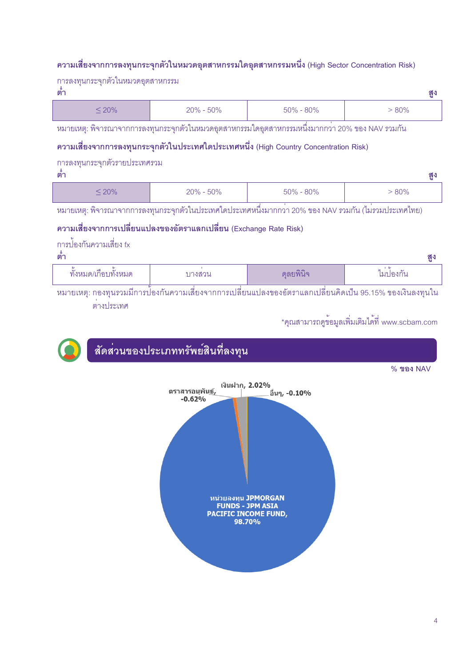#### ความเสี่ยงจากการลงทุนกระจุกตัวในหมวดอุตสาหกรรมใดอุตสาหกรรมหนึ่ง (High Sector Concentration Risk)

| การลงทุนกระจุกตัวในหมวดอุตสาหกรรม<br>ต้า                                                        |                                                                                         |               | ଶ୍ୱୟ                                                    |  |  |  |  |
|-------------------------------------------------------------------------------------------------|-----------------------------------------------------------------------------------------|---------------|---------------------------------------------------------|--|--|--|--|
| $< 20\%$                                                                                        | $50\% - 80\%$<br>$20\% - 50\%$<br>$> 80\%$                                              |               |                                                         |  |  |  |  |
| หมายเหตุ: พิจารณาจากการลงทุนกระจุกตัวในหมวดอุตสาหกรรมใดอุตสาหกรรมหนึ่งมากกวา 20% ของ NAV รวมกัน |                                                                                         |               |                                                         |  |  |  |  |
|                                                                                                 | ี ความเสี่ยงจากการลงทุนกระจุกตัวในประเทศใดประเทศหนึ่ง (High Country Concentration Risk) |               |                                                         |  |  |  |  |
| การลงทุนกระจุกตัวรายประเทศรวม                                                                   |                                                                                         |               |                                                         |  |  |  |  |
|                                                                                                 |                                                                                         |               | ଶ୍ମୁ                                                    |  |  |  |  |
| $\leq 20\%$                                                                                     | $20\% - 50\%$                                                                           | $50\% - 80\%$ | $> 80\%$                                                |  |  |  |  |
|                                                                                                 |                                                                                         |               | <b>Sales March</b><br>the company's company's company's |  |  |  |  |

หมายเหตุ: พิจารณาจากการลงทุนกระจุกตัวในประเทศใดประเทศหนึ่งมากกว<sup>่</sup>า 20% ของ NAV รวมกัน (ไม**่**รวมประเทศไทย)

#### ความเสี่ยงจากการเปลี่ยนแปลงของอัตราแลกเปลี่ยน (Exchange Rate Risk)

| การปองกันความเสียง fx<br>ตา    |          |           |
|--------------------------------|----------|-----------|
| ทั้งหมด/เกือบทั้งหมด<br>บางสวน | ดลยพินิจ | ็ไมปองกัน |

หมายเหตุ: กองทุนรวมมีการปองกันความเสี่ยงจากการเปลี่ยนแปลงของอัตราแลกเปลี่ยนคิดเป็น 95.15% ของเงินลงทุนใน ี ต่างประเทศ

\*คุณสามารถดูข้อมูลเพิ่มเติมได<sup>้</sup>ที่ www.scbam.com

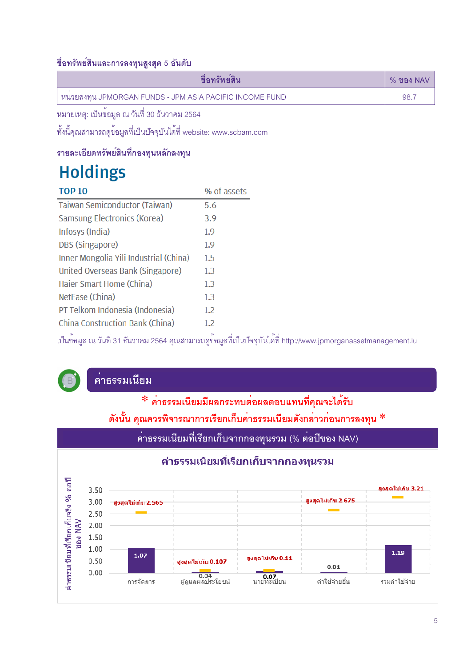#### ชื่อทรัพย์สินและการลงทุนสูงสุด 5 อันดับ

|                                                         | $%$ ของ NAV |
|---------------------------------------------------------|-------------|
| หนวยลงทุน JPMORGAN FUNDS - JPM ASIA PACIFIC INCOME FUND | 98.         |

<u>หมายเหตุ</u>: เป็นข<sup>้</sup>อมูล ณ วันที่ 30 ธันวาคม 2564

ทั้งนี้คุณสามารถดูข้อมูลที่เป็นบัจจุบันได<sup>้</sup>ที่ website: www.scbam.com

### รายละเอียดทรัพย์สินที่กองทุนหลักลงทุน

## **Holdings**

| <b>TOP 10</b>                          | % of assets |
|----------------------------------------|-------------|
| Taiwan Semiconductor (Taiwan)          | 5.6         |
| Samsung Electronics (Korea)            | 3.9         |
| Infosys (India)                        | 1.9         |
| DBS (Singapore)                        | 1.9         |
| Inner Mongolia Yili Industrial (China) | 1.5         |
| United Overseas Bank (Singapore)       | 1.3         |
| Haier Smart Home (China)               | 1.3         |
| NetEase (China)                        | 1.3         |
| PT Telkom Indonesia (Indonesia)        | 1.2         |
| <b>China Construction Bank (China)</b> | 1.2         |

เป็นข<sup>้</sup>อมูล ณ วันที่ 31 ธันวาคม 2564 คุณสามารถดูข<sup>้</sup>อมูลที่เป็นปัจจุบันได<sub>้</sub>ที่ http://www.jpmorganassetmanagement.lu

## ์<br>ค<sup>ำ</sup>ธรรมเนียม

## \* ค<sup>่</sup>าธรรมเนียมมีผลกระทบต<sup>่</sup>อผลตอบแทนที่คุณจะได*้*รับ

ดังนั้น คุณควรพิจารณาการเรียกเก็บค<sup>่</sup>าธรรมเนียมดังกล**่าวก**่อนการลงทุน \*

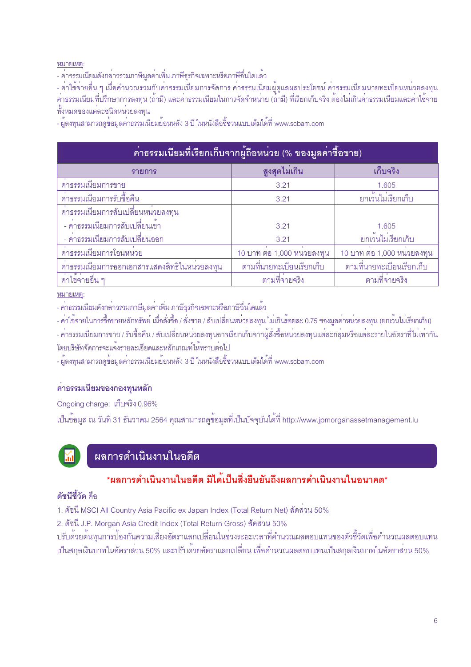หมายเหตะ

- คาธรรมเนียมดังกลาวรวมภาษีมูลคาเพิ่ม ภาษีธุรกิจเฉพาะหรือภาษีอื่นใดแล<sup>้</sup>ว

าการระบบระบานการระบบ และ และการระบบ และ กรรม และ กรรม และ กรรม และ กรรม เนียวการ ความเนียมนายทะเบียนหน่วยลงทุน<br>- ค่าใช้จ่ายอื่น ๆ เมื่อคำนวณรวมกับค่าธรรมเนียมการจัดการ ค่าธรรมเนียมผู้ดูแลผลประโยชน์ ค่าธรรมเนียมนายทะเบียนห ทั้งหมดของแต่ละชนิดหน่วยลงทุน

้ทงหมดของแตละขนดหนวยลงทุน<br>- ผู้ลงทุนสามารถดูข้อมูลค่าธรรมเนียมย้อนหลัง 3 ปี ในหนังสือชี้ชวนแบบเต็มได<sup>้</sup>ที่ www.scbam.com

| ้คาธรรมเนียมที่เรียกเก็บจากผู้ถือหน่วย (% ของมูลค่าซื้อขาย) |                           |                           |  |  |  |  |
|-------------------------------------------------------------|---------------------------|---------------------------|--|--|--|--|
| รายการ                                                      | สงสดไม่เกิน               | เก็บจริง                  |  |  |  |  |
| คาธรรมเนียมการขาย                                           | 3.21                      | 1.605                     |  |  |  |  |
| ้คาธรรมเนียมการรับซื้อคืน                                   | 3.21                      | ยกเวนไม่เรียกเก็บ         |  |  |  |  |
| ้คาธรรมเนียมการสับเปลี่ยนหนวยลงทุน                          |                           |                           |  |  |  |  |
| - คาธรรมเนียมการสับเปลี่ยนเข้า                              | 3.21                      | 1.605                     |  |  |  |  |
| - คาธรรมเนียมการสับเปลี่ยนออก                               | 3.21                      | ยกเวนไม่เรียกเก็บ         |  |  |  |  |
| ค่าธรรมเนียมการโอนหนวย                                      | 10 บาท ตอ 1,000 หนวยลงทุน | 10 บาท ตอ 1,000 หนวยลงทุน |  |  |  |  |
| ้คาธรรมเนียมการออกเอกสารแสดงสิทธิในหนวยลงทุน                | ตามที่นายทะเบียนเรียกเก็บ | ตามที่นายทะเบียนเรียกเก็บ |  |  |  |  |
| ้ค่าใช้จ่ายอื่น ๆ                                           | ตามที่จ่ายจริง            | ตามที่จายจริง             |  |  |  |  |

หมายเหตุ:

- คาธรรมเนียมดังกล<sup>่</sup>าวรวมภาษีมูลค<sup>่</sup>าเพิ่ม ภาษีธุรกิจเฉพาะหรือภาษีอื่นใดแล<sup>้</sup>ว

- ค่าใช้จ่ายในการซื้อขายหลักทรัพย์ เมื่อสั่งซื้อ / สั่งขาย / สับเปลี่ยนหน่วยลงทุน ไม่เกินร้อยละ 0.75 ของมูลค่าหน่วยลงทุน (ยกเว้นไม่เรียกเก็บ)

- คาธรรมเนียมการขาย / รับซื้อคืน / สับเปลี่ยนหน่วยลงทุนอาจเรียกเก็บจากผู้สั่งซื้อหน่วยลงทุนแต่ละกลุ่มหรือแต่ละรายในอัตราที่ไม่เท่ากัน โดยบริษัทจัดการจะแจ<sup>้</sup>งรายละเอียดและหลักเกณฑ์ให<sup>้</sup>ทราบต<sup>่</sup>อไป

- ผู้ลงทุนสามารถดูข้อมูลค<sup>่</sup>าธรรมเนียมย<sup>้</sup>อนหลัง 3 ปี ในหนังสือชี้ชวนแบบเต็มได<sup>้</sup>ที่ www.scbam.com

## ค่าธรรมเนียมของกองทนหลัก

Ongoing charge: เก็บจริง 0.96%

เป็นข้อมูล ณ วันที่ 31 ธันวาคม 2564 คุณสามารถดูข้อมูลที่เป็นปัจจุบันได<sup>้</sup>ที่ http://www.jpmorganassetmanagement.lu



## ผลการดำเนินงานในอดีต

## \*ผลการดำเนินงานในอดีต มิได้เป็นสิ่งยืนยันถึงผลการดำเนินงานในอนาคต\*

### ดัชนีชี้วัด คือ

1. ดัชนี MSCI All Country Asia Pacific ex Japan Index (Total Return Net) สัดสวน 50%

2. ดัชนี J.P. Morgan Asia Credit Index (Total Return Gross) สัดส<sup>่</sup>วน 50%

ปรับด้วยต้นทุนการป้องกันความเสี่ยงอัตราแลกเปลี่ยนในช่วงระยะเวลาที่คำนวณผลตอบแทนของตัวชี้วัดเพื่อคำนวณผลตอบแทน ้เป็นสกุลเงินบาทในอัตราส่วน 50% และปรับด้วยอัตราแลกเปลี่ยน เพื่อคำนวณผลตอบแทนเป็นสกุลเงินบาทในอัตราส่วน 50%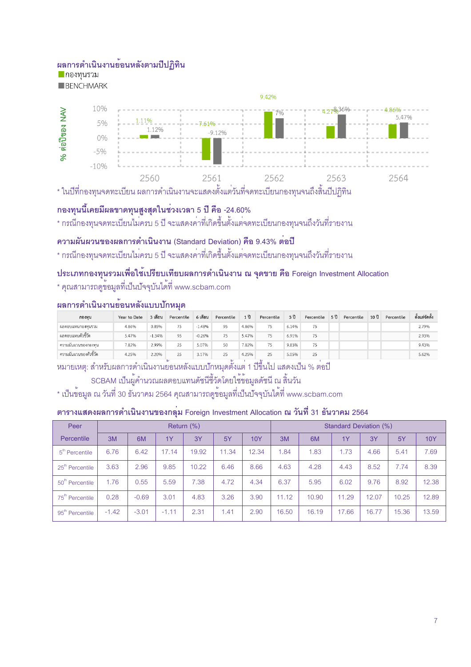## ผลการดำเนินงานย*้*อนหลังตามปีปฏิทิน

BENCHMARK



\* ในปีที่กองทุนจดทะเบียน ผลการดำเนินงานจะแสดงตั้งแต่วันที่จดทะเบียนกองทุนจนถึงสิ้นปีปฏิทิน

#### กองทุนนี้เคยมีผลขาดทุนสูงสุดในช**่วงเวลา 5 ปี คือ -24.60%**

\* กรณีกองทุนจดทะเบียนไมครบ 5 ปี จะแสดงคาที่เกิดขึ้นตั้งแต<sup>่</sup>จดทะเบียนกองทุนจนถึงวันที่รายงาน

#### ความผันผวนของผลการดำเนินงาน (Standard Deviation) คือ 9.43% ต<sup>่</sup>อปี

\* กรณีกองทุนจดทะเบียนไม**่**ครบ 5 ปี จะแสดงค<sup>่</sup>าที่เกิดขึ้นตั้งแต<sup>่</sup>จดทะเบียนกองทุนจนถึงวันที่รายงาน

#### ประเภทกองทุนรวมเพื่อใช<sup>้</sup>เปรียบเทียบผลการดำเนินงาน ณ จุดขาย คือ Foreign Investment Allocation <sub>.</sub>

\* คุณสามารถดูข้อมูลที่เป็นปัจจุบันได<sup>้</sup>ที่ www.scbam.com

#### ผลการดำเนินงานย<sup>้</sup>อนหลังแบบป*้*ักหม*ูด*

| กองทน                  | Year to Date | 3 เดือน  | Percentile | 6 เดือน  | Percentile | 1 ปี  | Percentile | 3 ปี  | Percentile | 5 ปี | Percentile | 10 ปี | Percentile | ตั้งแต่จัดตั้ง |
|------------------------|--------------|----------|------------|----------|------------|-------|------------|-------|------------|------|------------|-------|------------|----------------|
| ผลตอบแทนกองทนรวม       | 4.86%        | 0.85%    | 75         | 1.48%    | 95         | 4.86% | 75         | 6.14% | 75         |      |            |       |            | 2.79%          |
| ผลตอบแทนตัวซี้วัด      | 5.47%        | $-1.34%$ | 95         | $-0.26%$ |            | 5.47% | 75         | 6.91% | 75         |      |            |       |            | 2.93%          |
| . ความผันผวนของกองทุน  | 7.82%        | 2.99%    | 25         | 5.07%    | 50         | 7.82% | 75         | 9.83% | 75         |      |            |       |            | 9.43%          |
| ความผันผวนของตัวชี้วัด | 4.25%        | 2.20%    | 25         | 3.17%    | 25         | 4.25% | 25         | 5.05% | 25         |      |            |       |            | 5.62%          |

หมายเหตุ: สำหรับผลการดำเนินงานย<sup>้</sup>อนหลังแบบปักหมุดตั้งแต<sup>่</sup> 1 ปีขึ้นไป แสดงเป็น % ต<sup>่</sup>อปี

#### SCBAM เป็นผู<sup>้</sup>คำนวณผลตอบแทนดัชนีชี้วัดโดยใช<sub>้</sub>ข้อมูลดัชนี ณ สิ้นวัน

\* เป็นข<sup>้</sup>อมูล ณ วันที่ 30 ธันวาคม 2564 คุณสามารถดูข<sup>้</sup>อมูลที่เป็นปัจจุบันได<sup>้</sup>ที่ www.scbam.com

#### ตารางแสดงผลการดำเนินงานของกลุ**่ม Foreign Investment Allocation ณ วันที่** 31 ธันวาคม 2564

| Peer                        | Return (%) |         |         |       |       |       | Standard Deviation (%) |       |       |       |       |            |
|-----------------------------|------------|---------|---------|-------|-------|-------|------------------------|-------|-------|-------|-------|------------|
| Percentile                  | 3M         | 6M      | 1Y      | 3Y    | 5Y    | 10Y   | 3M                     | 6M    | 1Y    | 3Y    | 5Y    | <b>10Y</b> |
| 5 <sup>th</sup> Percentile  | 6.76       | 6.42    | 17.14   | 19.92 | 11.34 | 12.34 | 1.84                   | 1.83  | 1.73  | 4.66  | 5.41  | 7.69       |
| 25 <sup>th</sup> Percentile | 3.63       | 2.96    | 9.85    | 10.22 | 6.46  | 8.66  | 4.63                   | 4.28  | 4.43  | 8.52  | 7.74  | 8.39       |
| 50 <sup>th</sup> Percentile | 1.76       | 0.55    | 5.59    | 7.38  | 4.72  | 4.34  | 6.37                   | 5.95  | 6.02  | 9.76  | 8.92  | 12.38      |
| 75 <sup>th</sup> Percentile | 0.28       | $-0.69$ | 3.01    | 4.83  | 3.26  | 3.90  | 11.12                  | 10.90 | 11.29 | 12.07 | 10.25 | 12.89      |
| 95 <sup>th</sup> Percentile | $-1.42$    | $-3.01$ | $-1.11$ | 2.31  | 1.41  | 2.90  | 16.50                  | 16.19 | 17.66 | 16.77 | 15.36 | 13.59      |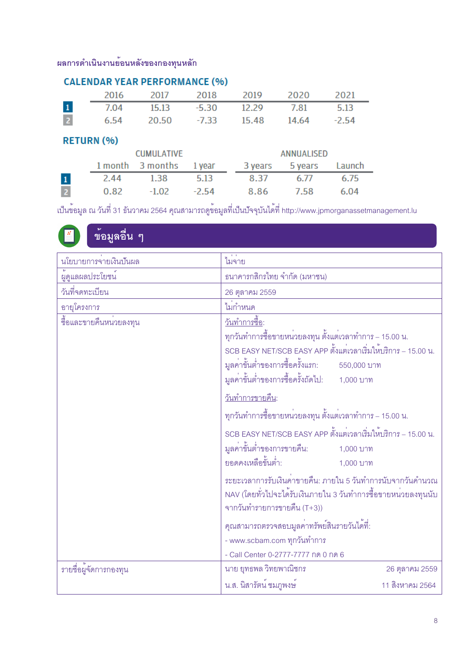## ผลการดำเนินงานย้อนหลังของกองทุนหลัก

## **CALENDAR YEAR PERFORMANCE (%)**

|          | 2016 | 2017  | 2018    | 2019  | 2020  | 2021    |
|----------|------|-------|---------|-------|-------|---------|
|          | 7.04 | 15.13 | -5.30   | 12.29 | 7.81  | 5.13    |
| <b>2</b> | 6.54 | 20.50 | $-7.33$ | 15.48 | 14.64 | $-2.54$ |

## RETURN (%)

|                |      | <b>CUMULATIVE</b> |         |         | ANNUALISED |        |
|----------------|------|-------------------|---------|---------|------------|--------|
|                |      | 1 month 3 months  | 1 year  | 3 years | 5 years    | Launch |
| $\overline{1}$ | 2.44 | 1.38              | 5.13    | 8.37    | 6.77       | 6.75   |
| $\overline{2}$ | 0.82 | $-1.02$           | $-2.54$ | 8.86    | 7.58       | 6.04   |

เป็นข<sup>้</sup>อมูล ณ วันที่ 31 ธันวาคม 2564 คุณสามารถดูข<sup>้</sup>อมูลที่เป็นปัจจุบันได<sup>้</sup>ที่ http://www.jpmorganassetmanagement.lu

## ์ ข<sup>้</sup>อมูลอื่น ๆ

| นโยบายการจายเงินปันผล           | ไม่จ่าย                                                                                                                                                                                                                                                                                                                                                                                                                                                                                                                                           |
|---------------------------------|---------------------------------------------------------------------------------------------------------------------------------------------------------------------------------------------------------------------------------------------------------------------------------------------------------------------------------------------------------------------------------------------------------------------------------------------------------------------------------------------------------------------------------------------------|
| ผูดูแลผลประโยชน <sup>์</sup>    | ธนาคารกสิกรไทย จำกัด (มหาชน)                                                                                                                                                                                                                                                                                                                                                                                                                                                                                                                      |
| วันที่จดทะเบียน                 | 26 ตุลาคม 2559                                                                                                                                                                                                                                                                                                                                                                                                                                                                                                                                    |
| อายุโครงการ                     | ไม่กำหนด                                                                                                                                                                                                                                                                                                                                                                                                                                                                                                                                          |
| ชื้อและขายคืนหนวยลงทุน          | <u>วันทำการขี้อ</u> :<br>ทุกวันทำการซื้อขายหนวยลงทุน ตั้งแต่เวลาทำการ – 15.00 น.<br>SCB EASY NET/SCB EASY APP ตั้งแต่เวลาเริ่มให <sup>้</sup> บริการ – 15.00 น.<br>มูลค่าขั้นต่ำของการซื้อครั้งแรก: 550,000 บาท<br>มูลค่าขั้นต่ำของการซื้อครั้งถัดไป: 1,000 บาท                                                                                                                                                                                                                                                                                   |
|                                 | <u>วันทำการขายคืน</u> :<br>ทุกวันทำการซื้อขายหน <sup>่</sup> วยลงทุน ตั้งแต <sup>่</sup> เวลาทำการ – 15.00 น.<br>SCB EASY NET/SCB EASY APP ตั้งแต่เวลาเริ่มให้บริการ – 15.00 น.<br>มูลค่าขั้นต่ำของการขายคืน:<br>1,000 บาท<br>ยอดคงเหลือขั้นต่ำ:<br>1,000 บาท<br>ระยะเวลาการรับเงินคาขายคืน: ภายใน 5 วันทำการนับจากวันคำนวณ<br>NAV (โดยทั่วไปจะได <sup>้</sup> รับเงินภายใน 3 วันทำการซื้อขายหน <sup>่</sup> วยลงทุนนับ<br>จากวันทำรายการขายคืน (T+3))<br>คุณสามารถตรวจสอบมูลคาทรัพย์สินรายวันได <sup>้</sup> ที่:<br>- www.scbam.com ทุกวันทำการ |
|                                 | - Call Center 0-2777-7777 กด 0 กด 6                                                                                                                                                                                                                                                                                                                                                                                                                                                                                                               |
| _____<br>รายชื่อผู้จัดการกองทุน | นาย ยุทธพล วิทยพาณิชกร<br>26 ตุลาคม 2559                                                                                                                                                                                                                                                                                                                                                                                                                                                                                                          |
|                                 | น.ส. นิสารัตน ชมภูพงษ<br>11 สิงหาคม 2564                                                                                                                                                                                                                                                                                                                                                                                                                                                                                                          |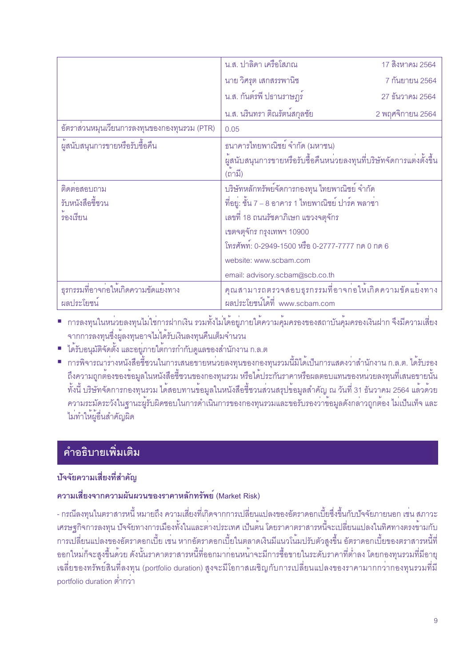|                                                                | น.ส. ปาลิดา เครือโสภณ                                                                                                                                                                                                                                                                     | 17 สิงหาคม 2564  |
|----------------------------------------------------------------|-------------------------------------------------------------------------------------------------------------------------------------------------------------------------------------------------------------------------------------------------------------------------------------------|------------------|
|                                                                | นาย วิศรุต เสกสรรพานิช                                                                                                                                                                                                                                                                    | 7 กันยายน 2564   |
|                                                                | น.ส. กันต์รพี ปธานราษฎร์                                                                                                                                                                                                                                                                  | 27 ธันวาคม 2564  |
|                                                                | น.ส. นรินทรา ติณรัตน์สกุลชัย                                                                                                                                                                                                                                                              | 2 พฤศจิกายน 2564 |
| อัตราสวนหมุนเวียนการลงทุนของกองทุนรวม (PTR)                    | 0.05                                                                                                                                                                                                                                                                                      |                  |
| ้ผู้สนับสนุนการขายหรือรับซื้อคืน                               | ธนาคารไทยพาณิชย์ จำกัด (มหาชน)<br>ผู้สนับสนุนการขายหรือรับซื้อคืนหน่วยลงทุนที่บริษัทจัดการแต่งตั้งขึ้น<br>(ถามี)                                                                                                                                                                          |                  |
| ติดตอสอบถาม<br>รับหนังสือขี้ชวน<br>้ว <sub>ั</sub> องเรียน     | บริษัทหลักทรัพย์จัดการกองทุน ไทยพาณิชย์ จำกัด<br>ที่อยู่: ชั้น 7 – 8 อาคาร 1 ไทยพาณิชย์ ปาร์ค พลาซ่า<br>เลขที่ 18 ถนนรัชดาภิเษก แขวงจตุจักร<br>เขตจตุจักร กรุงเทพฯ 10900<br>โทรศัพท์: 0-2949-1500 หรือ 0-2777-7777 กด 0 กด 6<br>website: www.scbam.com<br>email: advisory.scbam@scb.co.th |                  |
| ธุรกรรมที่อาจก่อให้เกิดความขัดแยงทาง<br>ผลประโยชน <sup>์</sup> | คุณสามารถตรวจสอบธุรกรรมที่อาจก่อให้เกิดความขัดแย้งทาง<br>ผลประโยชน์ได้ที่ www.scbam.com                                                                                                                                                                                                   |                  |

- การลงทุนในหน่วยลงทุนไม่ใช<sup>่</sup>การฝากเงิน รวมทั้งไม่ได้อยู่ภายใต<sup>้</sup>ความคุ้มครองของสถาบันคุ้มครองเงินฝาก จึงมีความเสี่ยง ิจากการลงทุนซึ่งผู้ลงทุนอาจไม่ได้รับเงินลงทุนคืนเต็มจำนวน
- ได้รับอนุมัติจัดตั้ง และอยู่ภายใต้การกำกับคูแลของสำนักงาน ก.ล.ต
- การพิจารณารางหนังสือชี้ชวนในการเสนอขายหน่วยลงทุนของกองทุนรวมนี้มิได้เป็นการแสดงว่าสำนักงาน ก.ล.ต. ได้รับรอง ้ถึงความถูกต้องของข้อมูลในหนังสือชี้ชวนของกองทุนรวม หรือได้ประกันราคาหรือผลตอบแทนของหน่วยลงทุนที่เสนอขายนั้น ้ทั้งนี้ บริษัทจัดการกองทุนรวม ได<sup>้</sup>สอบทานข<sup>้</sup>อมูลในหนังสือชี้ชวนส่วนสรุปข<sup>้</sup>อมูลสำคัญ ณ วันที่ 31 ธันวาคม 2564 แล<sup>้</sup>วด้วย ้ ความระมัดระวังในฐานะผู้รับผิดชอบในการดำเนินการของกองทุนรวมและขอรับรองว่าข้อมูลดังกล่าวถูกต้อง ไม่เป็นเท็จ และ ไม่ทำให้ผู้อื่นลำคัญผิด

## คำอธิบายเพิ่มเติม

## บัจจัยความเสี่ยงที่สำคัญ

## ้ความเสี่ยงจากความผันผวนของราคาหลักทรัพย์ (Market Risk)

- กรณีลงทุนในตราสารหนี้ หมายถึง ความเสี่ยงที่เกิดจากการเปลี่ยนแปลงของอัตราดอกเบี้ยซึ่งขึ้นกับปัจจัยภายนอก เช่น สภาวะ เศรษฐกิจการลงทุน ปัจจัยทางการเมืองทั้งในและต<sup>่</sup>างประเทศ เป็นต<sup>้</sup>น โดยราคาตราสารหนี้จะเปลี่ยนแปลงในทิศทางตรงข<sup>้</sup>ามกับ ้ การเปลี่ยนแปลงของอัตราดอกเบี้ย เช่น หากอัตราดอกเบี้ยในตลาดเงินมีแนวโนมปรับตัวสูงขึ้น อัตราดอกเบี้ยของตราสารหนี้ที่ ้ออกใหม่ก็จะสูงขึ้นด้วย ดังนั้นราคาตราสารหนี้ที่ออกมาก่อนหน้าจะมีการซื้อขายในระดับราคาที่ต่ำลง โดยกองทุนรวมที่มีอายุ ้ เฉลี่ยของทรัพย์สินที่ลงทุน (portfolio duration) สูงจะมีโอกาสเผชิญกับการเปลี่ยนแปลงของราคามากกว่ากองทุนรวมที่มี portfolio duration ต่ำกว่า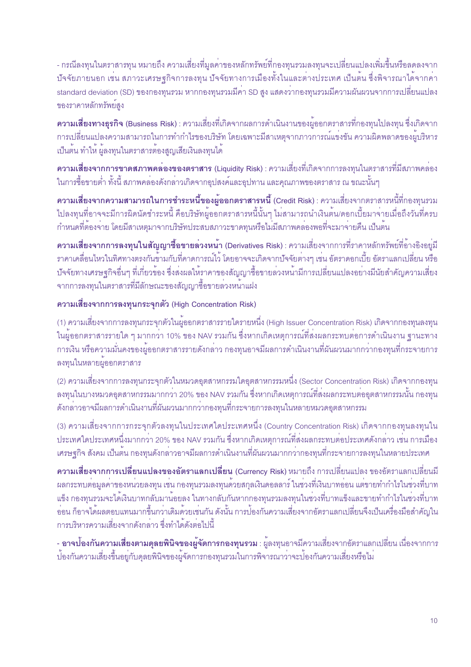- กรณีลงทุนในตราสารทุน หมายถึง ความเสี่ยงที่มูลค่าของหลักทรัพย์ที่กองทุนรวมลงทุนจะเปลี่ยนแปลงเพิ่มขึ้นหรือลดลงจาก ปัจจัยภายนอก เช่น สภาวะเศรษฐกิจการลงทุน ปัจจัยทางการเมืองทั้งในและต่างประเทศ เป็นต้น ซึ่งพิจารณาได้จากค่า standard deviation (SD) ของกองทุนรวม หากกองทุนรวมมีค<sup>่</sup>า SD สูง แสดงว<sup>่</sup>ากองทุนรวมมีความผันผวนจากการเปลี่ยนแปลง ของราคาหลักทรัพย์สูง

์ ความเสี่ยงทางธุรกิจ (Business Risk) : ความเสี่ยงที่เกิดจากผลการดำเนินงานของผู้ออกตราสารที่กองทุนไปลงทุน ซึ่งเกิดจาก ้การเปลี่ยนแปลงความสามารถในการทำกำไรของบริษัท โดยเฉพาะมีสาเหตุจากภาวการณ์แข่งขัน ความผิดพลาดของผู้บริหาร ้เป็นต้น ทำให<sup>้</sup> ผู้ลงทุนในตราสารต้องสูญเสียเงินลงทุนได<sup>้</sup>

ี ความเสี่ยงจากการขาดสภาพคลองของตราสาร (Liquidity Risk) : ความเสี่ยงที่เกิดจากการลงทุนในตราสารที่มีสภาพคล่อง ่ ในการซื้อขายต่ำ ทั้งนี้ สภาพคลองดังกล่าวเกิดจากอุปสงค์และอุปทาน และคุณภาพของตราสาร ณ ขณะนั้นๆ

ี ความเสี่ยงจากความสามารถในการชำระหนี้ของผู้ออกตราสารหนี้ (Credit Risk) : ความเสี่ยงจากตราสารหนี้ที่กองทุนรวม ้ไปลงทุนที่อาจจะมีการผิดนัดชำระหนี้ คือบริษัทผู้ออกตราสารหนี้นั้นๆ ไม่สามารถนำเงินต<sup>้</sup>น/ดอกเบี้ยมาจายเมื่อถึงวันที่ครบ ้ กำหนดที่ต้องจาย โดยมีสาเหตุมาจากบริษัทประสบสภาวะขาดทุนหรือไม่มีสภาพคล่องพอที่จะมาจายคืน เป็นต<sup>้</sup>น

ี ความเสี่ยงจากการลงทุนในสัญญาซื้อขายลวงหน้า (Derivatives Risk) : ความเสี่ยงจากการที่ราคาหลักทรัพย์ที่อ้างอิงอยู่มี ิราคาเคลื่อนไหวในทิศทางตรงกันข้ามกับที่คาดการณ์ไว้ โดยอาจจะเกิดจากบ้จจัยต่างๆ เช่น อัตราดอกเบี้ย อัตราแลกเปลี่ยน หรือ ้ บัจจัยทางเศรษฐกิจอื่นๆ ที่เกี่ยวข้อง ซึ่งล่งผลให้ราคาของสัญญาซื้อขายล่วงหน<sup>้</sup>ามีการเปลี่ยนแปลงอย่างมีนัยสำคัญความเสี่ยง ิจากการลงทุนในตราสารที่มีลักษณะของสัญญาซื้อขายลวงหน้าแฝง

### ความเสี่ยงจากการลงทุนกระจุกตัว (High Concentration Risk)

(1) ความเสี่ยงจากการลงทุนกระจุกตัวในผู้ออกตราสารรายใดรายหนึ่ง (High Issuer Concentration Risk) เกิดจากกองทุนลงทุน ในผู้ออกตราสารรายใด ๆ มากกว<sup>่</sup>า 10% ของ NAV รวมกัน ซึ่งหากเกิดเหตุการณ์ที่ส่งผลกระทบต<sup>่</sup>อการดำเนินงาน ฐานะทาง ำการเงิน หรือความมั่นคงของผู้ออกตราสารรายดังกล่าว กองทุนอาจมีผลการดำเนินงานที่ผันผวนมากกว่ากองทุนที่กระจายการ ลงทุนในหลายผู้ออกตราสาร

(2) ความเสี่ยงจากการลงทุนกระจุกตัวในหมวดอุตสาหกรรมใดอุตสาหกรรมหนึ่ง (Sector Concentration Risk) เกิดจากกองทุน ิ ลงทุนในบางหมวดอุตสาหกรรมมากกว่า 20% ของ NAV รวมกัน ซึ่งหากเกิดเหตุการณ์ที่ส่งผลกระทบต่ออุตสาหกรรมนั้น กองทุน ้ดังกล่าวอาจมีผลการดำเนินงานที่ผันผวนมากกว่ากองทุนที่กระจายการลงทุนในหลายหมวดอุตสาหกรรม

(3) ความเสี่ยงจากการกระจุกตัวลงทุนในประเทศใดประเทศหนึ่ง (Country Concentration Risk) เกิดจากกองทุนลงทุนใน ู ประเทศใดประเทศหนึ่งมากกว<sup>่</sup>า 20% ของ NAV รวมกัน ซึ่งหากเกิดเหตุการณ์ที่ส่งผลกระทบต<sup>่</sup>อประเทศดังกล**่าว เช**่น การเมือง ้ เศรษฐกิจ สังคม เป็นต้น กองทุนดังกล**่าวอาจมีผลการดำเนินงานที่ผันผวนมากกว**่ากองทุนที่กระจายการลงทุนในหลายประเทศ

ี ความเสี่ยงจากการเปลี่ยนแปลงของอัตราแลกเปลี่ยน (Currency Risk) หมายถึง การเปลี่ยนแปลง ของอัตราแลกเปลี่ยนมี ้ผลกระทบต่อมูลค่าของหน่วยลงทุน เช่น กองทุนรวมลงทุนด้วยสกุลเงินดอลลาร์ ในช่วงที่เงินบาทอ่อน แต่ขายทำกำไรในช่วงที่บาท ้แข็ง กองทุนรวมจะได้เงินบาทกลับมาน้อยลง ในทางกลับกันหากกองทุนรวมลงทุนในช่วงที่บาทแข็งและขายทำกำไรในช่วงที่บาท ้อ่อน ก็อาจได้ผลตอบแทนมากขึ้นกว่าเดิมด้วยเช่นกัน ดังนั้น การป้องกันความเสี่ยงจากอัตราแลกเปลี่ยนจึงเป็นเครื่องมือสำคัญใน ้การบริหารความเสี่ยงจากดังกล่าว ซึ่งทำได้ดังต่อไปนี้

- **อาจบ้องกันความเสี่ยงตามดุลยพินิจของผู<sup>้</sup>จัดการกองทุนรวม** : ผู้ลงทุนอาจมีความเสี่ยงจากอัตราแลกเปลี่ยน เนื่องจากการ ้ ปองกันความเสี่ยงขึ้นอยู่กับดุลยพินิจของผู้จัดการกองทุนรวมในการพิจารณาวาจะปองกันความเสี่ยงหรือไม่